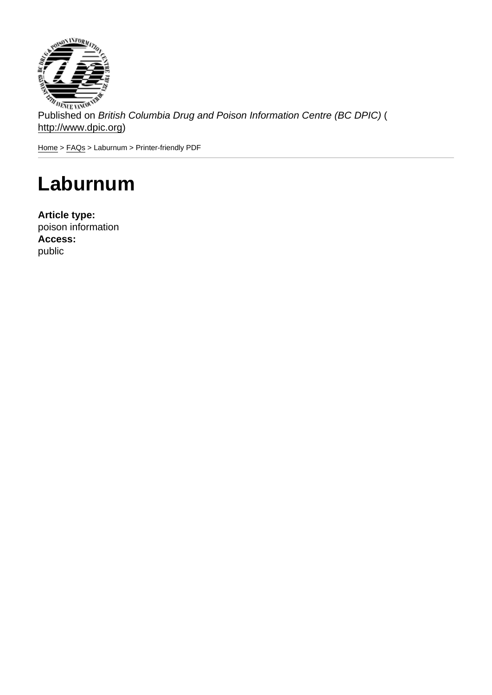Published on British Columbia Drug and Poison Information Centre (BC DPIC) ( http://www.dpic.org)

Home > FAQs > Laburnum > Printer-friendly PDF

# [La](http://www.dpic.org/)[bur](http://www.dpic.org/faq)num

Article type: poison information Access: public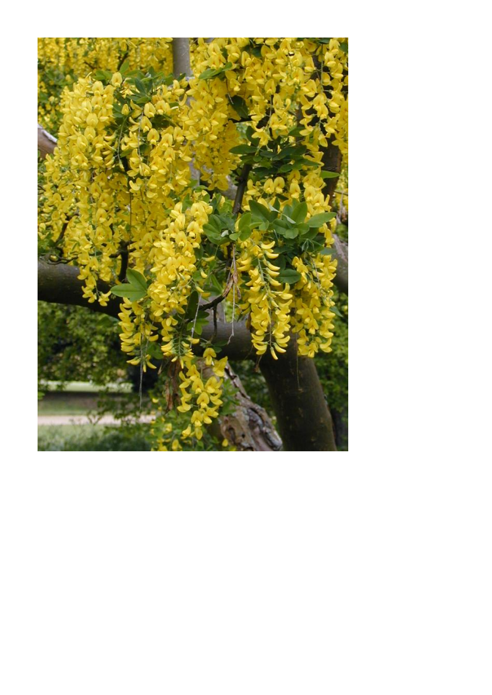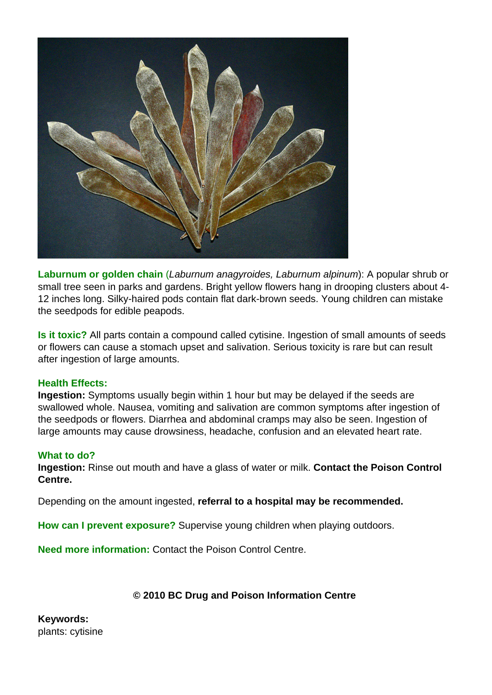

**Laburnum or golden chain** (Laburnum anagyroides, Laburnum alpinum): A popular shrub or small tree seen in parks and gardens. Bright yellow flowers hang in drooping clusters about 4- 12 inches long. Silky-haired pods contain flat dark-brown seeds. Young children can mistake the seedpods for edible peapods.

**Is it toxic?** All parts contain a compound called cytisine. Ingestion of small amounts of seeds or flowers can cause a stomach upset and salivation. Serious toxicity is rare but can result after ingestion of large amounts.

#### **Health Effects:**

**Ingestion:** Symptoms usually begin within 1 hour but may be delayed if the seeds are swallowed whole. Nausea, vomiting and salivation are common symptoms after ingestion of the seedpods or flowers. Diarrhea and abdominal cramps may also be seen. Ingestion of large amounts may cause drowsiness, headache, confusion and an elevated heart rate.

## **What to do?**

**Ingestion:** Rinse out mouth and have a glass of water or milk. **Contact the Poison Control Centre.** 

Depending on the amount ingested, **referral to a hospital may be recommended.**

**How can I prevent exposure?** Supervise young children when playing outdoors.

**Need more information:** Contact the Poison Control Centre.

## **© 2010 BC Drug and Poison Information Centre**

**Keywords:**  plants: cytisine